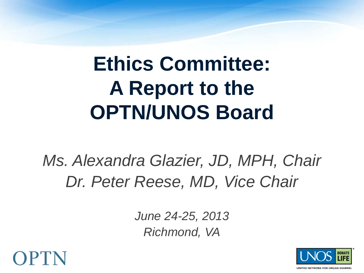## **Ethics Committee: A Report to the OPTN/UNOS Board**

*Ms. Alexandra Glazier, JD, MPH, Chair Dr. Peter Reese, MD, Vice Chair*

> *June 24-25, 2013 Richmond, VA*



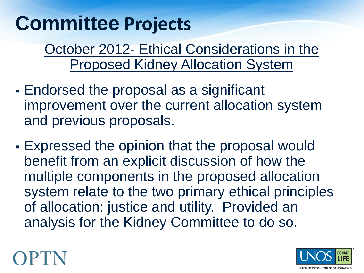### **Committee Projects**

October 2012- Ethical Considerations in the Proposed Kidney Allocation System

- Endorsed the proposal as a significant improvement over the current allocation system and previous proposals.
- Expressed the opinion that the proposal would benefit from an explicit discussion of how the multiple components in the proposed allocation system relate to the two primary ethical principles of allocation: justice and utility. Provided an analysis for the Kidney Committee to do so.



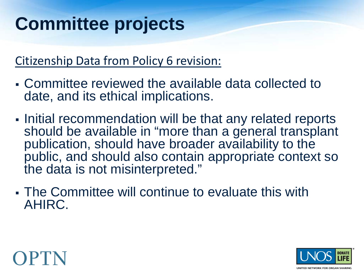### **Committee projects**

#### Citizenship Data from Policy 6 revision:

- Committee reviewed the available data collected to date, and its ethical implications.
- Initial recommendation will be that any related reports should be available in "more than a general transplant publication, should have broader availability to the public, and should also contain appropriate context so the data is not misinterpreted."
- The Committee will continue to evaluate this with AHIRC.



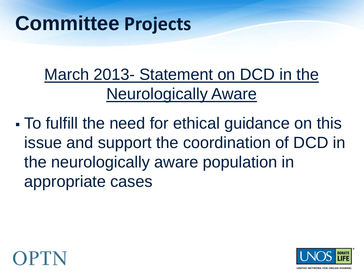### March 2013- Statement on DCD in the Neurologically Aware

 To fulfill the need for ethical guidance on this issue and support the coordination of DCD in the neurologically aware population in appropriate cases



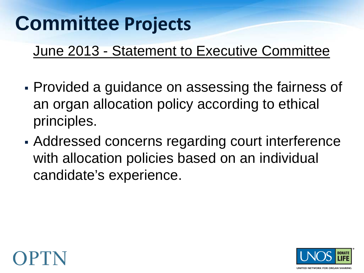### **Committee Projects**

#### June 2013 - Statement to Executive Committee

- Provided a guidance on assessing the fairness of an organ allocation policy according to ethical principles.
- Addressed concerns regarding court interference with allocation policies based on an individual candidate's experience.



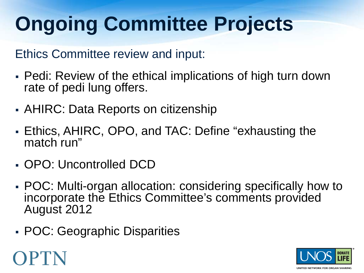# **Ongoing Committee Projects**

Ethics Committee review and input:

- Pedi: Review of the ethical implications of high turn down rate of pedi lung offers.
- AHIRC: Data Reports on citizenship
- Ethics, AHIRC, OPO, and TAC: Define "exhausting the match run"
- OPO: Uncontrolled DCD
- POC: Multi-organ allocation: considering specifically how to incorporate the Ethics Committee's comments provided August 2012
- POC: Geographic Disparities